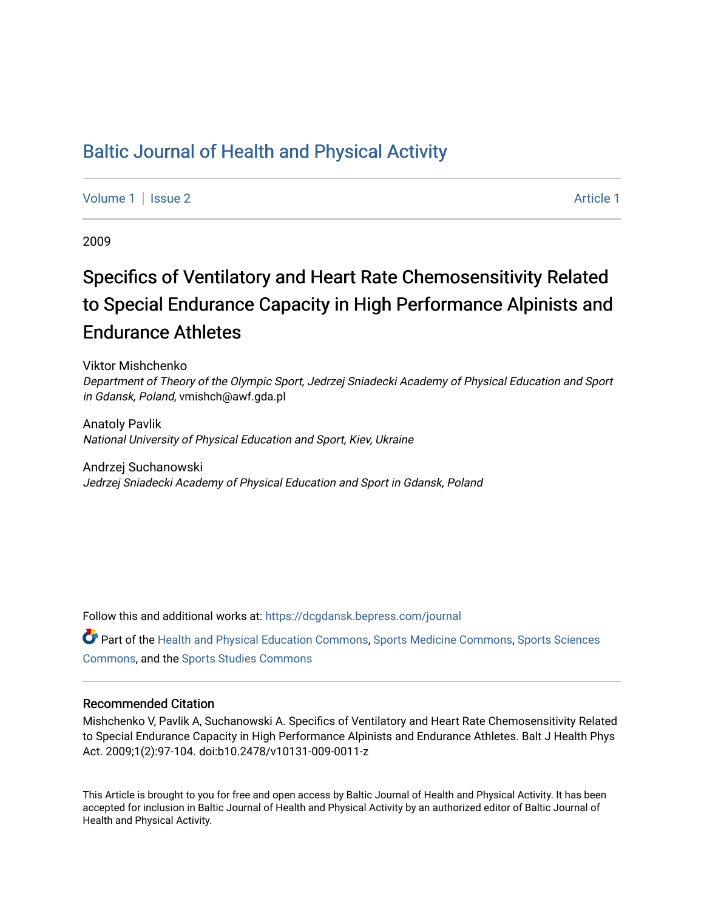# [Baltic Journal of Health and Physical Activity](https://dcgdansk.bepress.com/journal)

[Volume 1](https://dcgdansk.bepress.com/journal/vol1) | [Issue 2](https://dcgdansk.bepress.com/journal/vol1/iss2) Article 1

2009

# Specifics of Ventilatory and Heart Rate Chemosensitivity Related to Special Endurance Capacity in High Performance Alpinists and Endurance Athletes

Viktor Mishchenko Department of Theory of the Olympic Sport, Jedrzej Sniadecki Academy of Physical Education and Sport in Gdansk, Poland, vmishch@awf.gda.pl

Anatoly Pavlik National University of Physical Education and Sport, Kiev, Ukraine

Andrzej Suchanowski Jedrzej Sniadecki Academy of Physical Education and Sport in Gdansk, Poland

Follow this and additional works at: [https://dcgdansk.bepress.com/journal](https://dcgdansk.bepress.com/journal?utm_source=dcgdansk.bepress.com%2Fjournal%2Fvol1%2Fiss2%2F1&utm_medium=PDF&utm_campaign=PDFCoverPages)

Part of the [Health and Physical Education Commons](http://network.bepress.com/hgg/discipline/1327?utm_source=dcgdansk.bepress.com%2Fjournal%2Fvol1%2Fiss2%2F1&utm_medium=PDF&utm_campaign=PDFCoverPages), [Sports Medicine Commons,](http://network.bepress.com/hgg/discipline/1331?utm_source=dcgdansk.bepress.com%2Fjournal%2Fvol1%2Fiss2%2F1&utm_medium=PDF&utm_campaign=PDFCoverPages) [Sports Sciences](http://network.bepress.com/hgg/discipline/759?utm_source=dcgdansk.bepress.com%2Fjournal%2Fvol1%2Fiss2%2F1&utm_medium=PDF&utm_campaign=PDFCoverPages) [Commons](http://network.bepress.com/hgg/discipline/759?utm_source=dcgdansk.bepress.com%2Fjournal%2Fvol1%2Fiss2%2F1&utm_medium=PDF&utm_campaign=PDFCoverPages), and the [Sports Studies Commons](http://network.bepress.com/hgg/discipline/1198?utm_source=dcgdansk.bepress.com%2Fjournal%2Fvol1%2Fiss2%2F1&utm_medium=PDF&utm_campaign=PDFCoverPages) 

#### Recommended Citation

Mishchenko V, Pavlik A, Suchanowski A. Specifics of Ventilatory and Heart Rate Chemosensitivity Related to Special Endurance Capacity in High Performance Alpinists and Endurance Athletes. Balt J Health Phys Act. 2009;1(2):97-104. doi:b10.2478/v10131-009-0011-z

This Article is brought to you for free and open access by Baltic Journal of Health and Physical Activity. It has been accepted for inclusion in Baltic Journal of Health and Physical Activity by an authorized editor of Baltic Journal of Health and Physical Activity.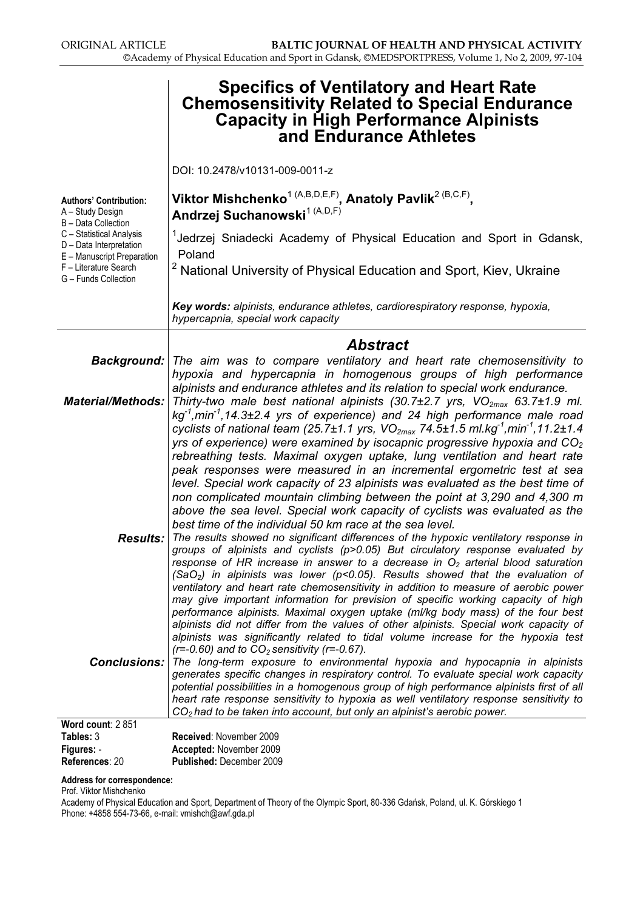|                                                                                                                                    | <b>Specifics of Ventilatory and Heart Rate</b><br><b>Chemosensitivity Related to Special Endurance</b><br><b>Capacity in High Performance Alpinists</b><br>and Endurance Athletes                                                                                                                                                                                                                                                                                                                                                                                                                                                                                                                                                                                                                            |
|------------------------------------------------------------------------------------------------------------------------------------|--------------------------------------------------------------------------------------------------------------------------------------------------------------------------------------------------------------------------------------------------------------------------------------------------------------------------------------------------------------------------------------------------------------------------------------------------------------------------------------------------------------------------------------------------------------------------------------------------------------------------------------------------------------------------------------------------------------------------------------------------------------------------------------------------------------|
|                                                                                                                                    | DOI: 10.2478/v10131-009-0011-z                                                                                                                                                                                                                                                                                                                                                                                                                                                                                                                                                                                                                                                                                                                                                                               |
| <b>Authors' Contribution:</b><br>A - Study Design<br>B - Data Collection                                                           | Viktor Mishchenko <sup>1 (A,B,D,E,F)</sup> , Anatoly Pavlik <sup>2 (B,C,F)</sup> ,<br>Andrzej Suchanowski <sup>1 (A,D,F)</sup>                                                                                                                                                                                                                                                                                                                                                                                                                                                                                                                                                                                                                                                                               |
| C - Statistical Analysis<br>D - Data Interpretation<br>E - Manuscript Preparation<br>F - Literature Search<br>G - Funds Collection | <sup>1</sup> Jedrzej Sniadecki Academy of Physical Education and Sport in Gdansk,<br>Poland<br><sup>2</sup> National University of Physical Education and Sport, Kiev, Ukraine                                                                                                                                                                                                                                                                                                                                                                                                                                                                                                                                                                                                                               |
|                                                                                                                                    | Key words: alpinists, endurance athletes, cardiorespiratory response, hypoxia,<br>hypercapnia, special work capacity                                                                                                                                                                                                                                                                                                                                                                                                                                                                                                                                                                                                                                                                                         |
|                                                                                                                                    | <b>Abstract</b>                                                                                                                                                                                                                                                                                                                                                                                                                                                                                                                                                                                                                                                                                                                                                                                              |
| <b>Background:</b>                                                                                                                 | The aim was to compare ventilatory and heart rate chemosensitivity to                                                                                                                                                                                                                                                                                                                                                                                                                                                                                                                                                                                                                                                                                                                                        |
| <b>Material/Methods:</b>                                                                                                           | hypoxia and hypercapnia in homogenous groups of high performance<br>alpinists and endurance athletes and its relation to special work endurance.<br>Thirty-two male best national alpinists (30.7±2.7 yrs, $VO_{2max}$ 63.7±1.9 ml.<br>$kg-1$ , min <sup>-1</sup> , 14.3 $\pm$ 2.4 yrs of experience) and 24 high performance male road<br>cyclists of national team (25.7±1.1 yrs, VO <sub>2max</sub> 74.5±1.5 ml.kg <sup>-1</sup> ,min <sup>-1</sup> ,11.2±1.4                                                                                                                                                                                                                                                                                                                                             |
|                                                                                                                                    | yrs of experience) were examined by isocapnic progressive hypoxia and $CO2$<br>rebreathing tests. Maximal oxygen uptake, lung ventilation and heart rate<br>peak responses were measured in an incremental ergometric test at sea<br>level. Special work capacity of 23 alpinists was evaluated as the best time of<br>non complicated mountain climbing between the point at 3,290 and 4,300 m<br>above the sea level. Special work capacity of cyclists was evaluated as the<br>best time of the individual 50 km race at the sea level.                                                                                                                                                                                                                                                                   |
| <b>Results:</b>                                                                                                                    | The results showed no significant differences of the hypoxic ventilatory response in<br>groups of alpinists and cyclists (p>0.05) But circulatory response evaluated by<br>response of HR increase in answer to a decrease in $O_2$ arterial blood saturation<br>(SaO <sub>2</sub> ) in alpinists was lower ( $p$ <0.05). Results showed that the evaluation of<br>ventilatory and heart rate chemosensitivity in addition to measure of aerobic power<br>may give important information for prevision of specific working capacity of high<br>performance alpinists. Maximal oxygen uptake (ml/kg body mass) of the four best<br>alpinists did not differ from the values of other alpinists. Special work capacity of<br>alpinists was significantly related to tidal volume increase for the hypoxia test |
| Conclusions:                                                                                                                       | $(r=-0.60)$ and to $CO2$ sensitivity (r=-0.67).<br>The long-term exposure to environmental hypoxia and hypocapnia in alpinists<br>generates specific changes in respiratory control. To evaluate special work capacity<br>potential possibilities in a homogenous group of high performance alpinists first of all<br>heart rate response sensitivity to hypoxia as well ventilatory response sensitivity to<br>$CO2$ had to be taken into account, but only an alpinist's aerobic power.                                                                                                                                                                                                                                                                                                                    |
| Word count: 2 851                                                                                                                  |                                                                                                                                                                                                                                                                                                                                                                                                                                                                                                                                                                                                                                                                                                                                                                                                              |
| Tables: 3                                                                                                                          | Received: November 2009                                                                                                                                                                                                                                                                                                                                                                                                                                                                                                                                                                                                                                                                                                                                                                                      |
| Figures: -                                                                                                                         | Accepted: November 2009                                                                                                                                                                                                                                                                                                                                                                                                                                                                                                                                                                                                                                                                                                                                                                                      |

References: 20 Published: December 2009

#### Address for correspondence:

Prof. Viktor Mishchenko

Academy of Physical Education and Sport, Department of Theory of the Olympic Sport, 80-336 Gdańsk, Poland, ul. K. Górskiego 1 Phone: +4858 554-73-66, e-mail: vmishch@awf.gda.pl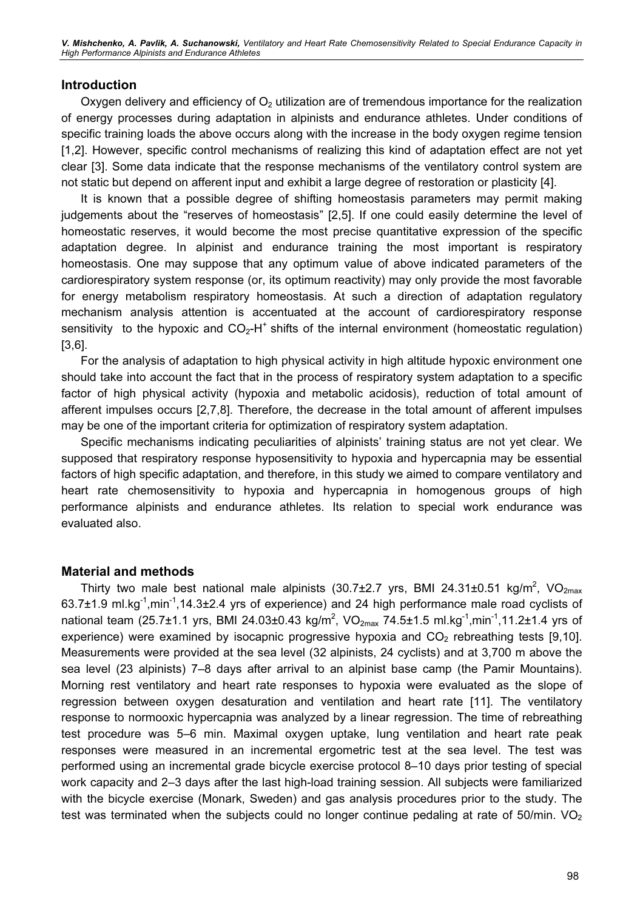V. Mishchenko, A. Pavlik, A. Suchanowski, Ventilatory and Heart Rate Chemosensitivity Related to Special Endurance Capacity in High Performance Alpinists and Endurance Athletes

#### Introduction

Oxygen delivery and efficiency of  $O<sub>2</sub>$  utilization are of tremendous importance for the realization of energy processes during adaptation in alpinists and endurance athletes. Under conditions of specific training loads the above occurs along with the increase in the body oxygen regime tension [1,2]. However, specific control mechanisms of realizing this kind of adaptation effect are not yet clear [3]. Some data indicate that the response mechanisms of the ventilatory control system are not static but depend on afferent input and exhibit a large degree of restoration or plasticity [4].

It is known that a possible degree of shifting homeostasis parameters may permit making judgements about the "reserves of homeostasis" [2,5]. If one could easily determine the level of homeostatic reserves, it would become the most precise quantitative expression of the specific adaptation degree. In alpinist and endurance training the most important is respiratory homeostasis. One may suppose that any optimum value of above indicated parameters of the cardiorespiratory system response (or, its optimum reactivity) may only provide the most favorable for energy metabolism respiratory homeostasis. At such a direction of adaptation regulatory mechanism analysis attention is accentuated at the account of cardiorespiratory response sensitivity to the hypoxic and  $CO<sub>2</sub>-H<sup>+</sup>$  shifts of the internal environment (homeostatic regulation) [3,6].

For the analysis of adaptation to high physical activity in high altitude hypoxic environment one should take into account the fact that in the process of respiratory system adaptation to a specific factor of high physical activity (hypoxia and metabolic acidosis), reduction of total amount of afferent impulses occurs [2,7,8]. Therefore, the decrease in the total amount of afferent impulses may be one of the important criteria for optimization of respiratory system adaptation.

Specific mechanisms indicating peculiarities of alpinists' training status are not yet clear. We supposed that respiratory response hyposensitivity to hypoxia and hypercapnia may be essential factors of high specific adaptation, and therefore, in this study we aimed to compare ventilatory and heart rate chemosensitivity to hypoxia and hypercapnia in homogenous groups of high performance alpinists and endurance athletes. Its relation to special work endurance was evaluated also.

#### Material and methods

Thirty two male best national male alpinists (30.7±2.7 yrs, BMI 24.31±0.51 kg/m<sup>2</sup>, VO<sub>2max</sub> 63.7 $\pm$ 1.9 ml.kg<sup>-1</sup>,min<sup>-1</sup>,14.3 $\pm$ 2.4 yrs of experience) and 24 high performance male road cyclists of national team (25.7±1.1 yrs, BMI 24.03±0.43 kg/m<sup>2</sup>, VO<sub>2max</sub> 74.5±1.5 ml.kg<sup>-1</sup>,min<sup>-1</sup>,11.2±1.4 yrs of experience) were examined by isocapnic progressive hypoxia and  $CO<sub>2</sub>$  rebreathing tests [9,10]. Measurements were provided at the sea level (32 alpinists, 24 cyclists) and at 3,700 m above the sea level (23 alpinists) 7–8 days after arrival to an alpinist base camp (the Pamir Mountains). Morning rest ventilatory and heart rate responses to hypoxia were evaluated as the slope of regression between oxygen desaturation and ventilation and heart rate [11]. The ventilatory response to normooxic hypercapnia was analyzed by a linear regression. The time of rebreathing test procedure was 5–6 min. Maximal oxygen uptake, lung ventilation and heart rate peak responses were measured in an incremental ergometric test at the sea level. The test was performed using an incremental grade bicycle exercise protocol 8–10 days prior testing of special work capacity and 2–3 days after the last high-load training session. All subjects were familiarized with the bicycle exercise (Monark, Sweden) and gas analysis procedures prior to the study. The test was terminated when the subjects could no longer continue pedaling at rate of 50/min.  $VO<sub>2</sub>$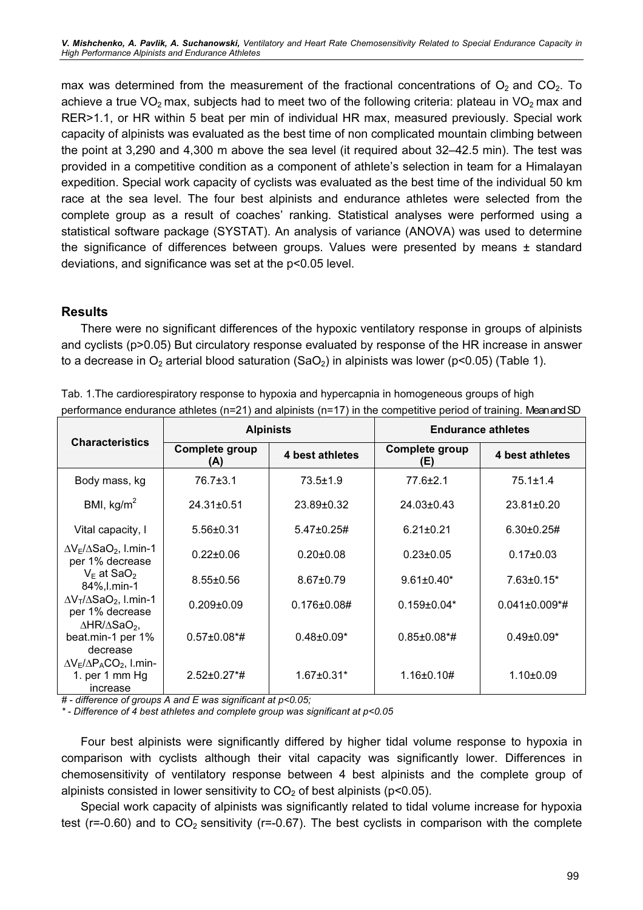V. Mishchenko, A. Pavlik, A. Suchanowski, Ventilatory and Heart Rate Chemosensitivity Related to Special Endurance Capacity in High Performance Alpinists and Endurance Athletes

max was determined from the measurement of the fractional concentrations of  $O_2$  and  $CO_2$ . To achieve a true  $VO<sub>2</sub>$  max, subjects had to meet two of the following criteria: plateau in  $VO<sub>2</sub>$  max and RER>1.1, or HR within 5 beat per min of individual HR max, measured previously. Special work capacity of alpinists was evaluated as the best time of non complicated mountain climbing between the point at 3,290 and 4,300 m above the sea level (it required about 32–42.5 min). The test was provided in a competitive condition as a component of athlete's selection in team for a Himalayan expedition. Special work capacity of cyclists was evaluated as the best time of the individual 50 km race at the sea level. The four best alpinists and endurance athletes were selected from the complete group as a result of coaches' ranking. Statistical analyses were performed using a statistical software package (SYSTAT). An analysis of variance (ANOVA) was used to determine the significance of differences between groups. Values were presented by means ± standard deviations, and significance was set at the p<0.05 level.

#### Results

There were no significant differences of the hypoxic ventilatory response in groups of alpinists and cyclists (p>0.05) But circulatory response evaluated by response of the HR increase in answer to a decrease in  $O_2$  arterial blood saturation (SaO<sub>2</sub>) in alpinists was lower (p<0.05) (Table 1).

|                                                                                 |                       | <b>Alpinists</b>    | <b>Endurance athletes</b>      |                                  |  |  |  |
|---------------------------------------------------------------------------------|-----------------------|---------------------|--------------------------------|----------------------------------|--|--|--|
| <b>Characteristics</b>                                                          | Complete group<br>(A) | 4 best athletes     | <b>Complete group</b><br>(E)   | 4 best athletes                  |  |  |  |
| Body mass, kg                                                                   | 76.7±3.1              | $73.5 \pm 1.9$      | 77.6±2.1                       | $75.1 \pm 1.4$                   |  |  |  |
| BMI, $kg/m2$                                                                    | $24.31 \pm 0.51$      | 23.89±0.32          | $24.03 \pm 0.43$               | $23.81 \pm 0.20$                 |  |  |  |
| Vital capacity, I                                                               | $5.56 \pm 0.31$       | $5.47\pm0.25\#$     | $6.21 \pm 0.21$                | $6.30 \pm 0.25 \#$               |  |  |  |
| $\Delta V_{E}/\Delta SaO_{2}$ , l.min-1<br>per 1% decrease                      | $0.22 \pm 0.06$       | $0.20 \pm 0.08$     | $0.23 \pm 0.05$                | $0.17 \pm 0.03$                  |  |  |  |
| $V_{E}$ at SaO <sub>2</sub><br>84%, I.min-1                                     | $8.55 \pm 0.56$       | $8.67 + 0.79$       | $9.61 \pm 0.40^*$              | $7.63 \pm 0.15^*$                |  |  |  |
| $\Delta V_T/\Delta$ SaO <sub>2</sub> , I.min-1<br>per 1% decrease               | $0.209 + 0.09$        | $0.176 \pm 0.08 \#$ | $0.159 \pm 0.04*$              | $0.041 \pm 0.009$ <sup>*</sup> # |  |  |  |
| $\triangle$ HR/ $\triangle$ SaO <sub>2</sub> ,<br>beat.min-1 per 1%<br>decrease | $0.57 \pm 0.08$ *#    | $0.48 \pm 0.09*$    | $0.85 \pm 0.08$ <sup>*</sup> # | $0.49 \pm 0.09*$                 |  |  |  |
| $\Delta V_E/\Delta P_A CO_2$ , I.min-<br>1. per 1 mm Hg<br>increase             | $2.52 \pm 0.27$ *#    | $1.67 \pm 0.31*$    | $1.16 \pm 0.10 \#$             | $1.10+0.09$                      |  |  |  |

Tab. 1.The cardiorespiratory response to hypoxia and hypercapnia in homogeneous groups of high performance endurance athletes (n=21) and alpinists (n=17) in the competitive period of training. Mean and SD

# - difference of groups A and E was significant at p<0.05;

\* - Difference of 4 best athletes and complete group was significant at p<0.05

Four best alpinists were significantly differed by higher tidal volume response to hypoxia in comparison with cyclists although their vital capacity was significantly lower. Differences in chemosensitivity of ventilatory response between 4 best alpinists and the complete group of alpinists consisted in lower sensitivity to  $CO<sub>2</sub>$  of best alpinists (p<0.05).

Special work capacity of alpinists was significantly related to tidal volume increase for hypoxia test ( $r=-0.60$ ) and to  $CO<sub>2</sub>$  sensitivity ( $r=-0.67$ ). The best cyclists in comparison with the complete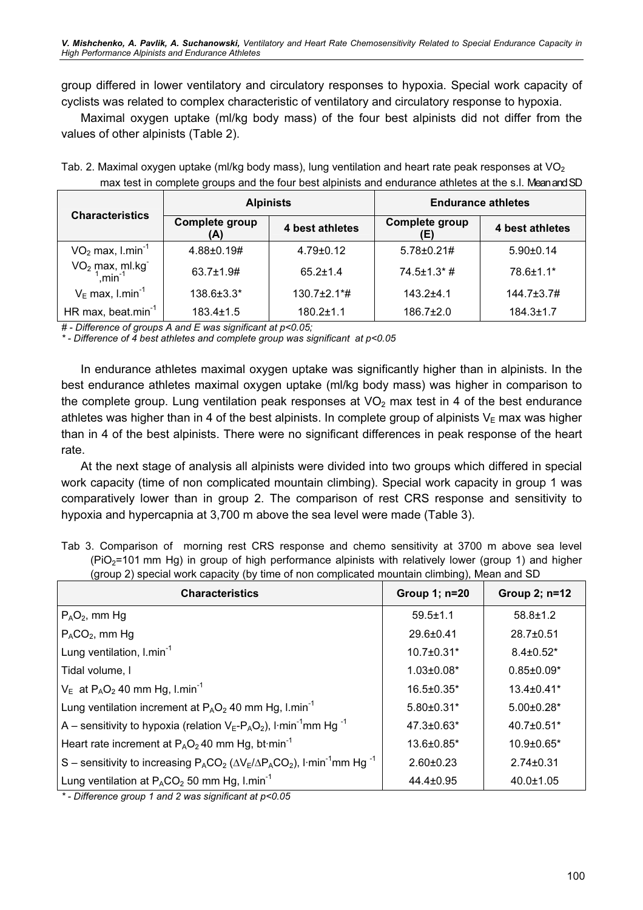group differed in lower ventilatory and circulatory responses to hypoxia. Special work capacity of cyclists was related to complex characteristic of ventilatory and circulatory response to hypoxia.

Maximal oxygen uptake (ml/kg body mass) of the four best alpinists did not differ from the values of other alpinists (Table 2).

Tab. 2. Maximal oxygen uptake (ml/kg body mass), lung ventilation and heart rate peak responses at VO<sub>2</sub> max test in complete groups and the four best alpinists and endurance athletes at the s.l. Mean and SD

|                                |                       | <b>Alpinists</b>               | <b>Endurance athletes</b>    |                    |  |  |  |  |
|--------------------------------|-----------------------|--------------------------------|------------------------------|--------------------|--|--|--|--|
| <b>Characteristics</b>         | Complete group<br>(A) | 4 best athletes                | <b>Complete group</b><br>(E) | 4 best athletes    |  |  |  |  |
| $VO2$ max, l.min <sup>-1</sup> | $4.88 \pm 0.19 \#$    | $4.79 \pm 0.12$                | $5.78 \pm 0.21 \#$           | $5.90+0.14$        |  |  |  |  |
| $VO2 max, ml.kg-1, min-1$      | $63.7 \pm 1.9 \#$     | $65.2 \pm 1.4$                 | $74.5 \pm 1.3$ $*$ #         | 78.6±1.1*          |  |  |  |  |
| $V_E$ max, l.min <sup>-1</sup> | 138.6±3.3*            | $130.7 \pm 2.1$ <sup>*</sup> # | $143.2 + 4.1$                | $144.7 \pm 3.7 \#$ |  |  |  |  |
| HR max, beat.min $^{-1}$       | $183.4 \pm 1.5$       | $180.2 \pm 1.1$                | $186.7 \pm 2.0$              | $184.3 \pm 1.7$    |  |  |  |  |

# - Difference of groups A and E was significant at p<0.05;

\* - Difference of 4 best athletes and complete group was significant at p<0.05

In endurance athletes maximal oxygen uptake was significantly higher than in alpinists. In the best endurance athletes maximal oxygen uptake (ml/kg body mass) was higher in comparison to the complete group. Lung ventilation peak responses at  $VO<sub>2</sub>$  max test in 4 of the best endurance athletes was higher than in 4 of the best alpinists. In complete group of alpinists  $V_{E}$  max was higher than in 4 of the best alpinists. There were no significant differences in peak response of the heart rate.

At the next stage of analysis all alpinists were divided into two groups which differed in special work capacity (time of non complicated mountain climbing). Special work capacity in group 1 was comparatively lower than in group 2. The comparison of rest CRS response and sensitivity to hypoxia and hypercapnia at 3,700 m above the sea level were made (Table 3).

|  |  |  |  |  |  |  | Tab 3. Comparison of morning rest CRS response and chemo sensitivity at 3700 m above sea level       |  |  |  |
|--|--|--|--|--|--|--|------------------------------------------------------------------------------------------------------|--|--|--|
|  |  |  |  |  |  |  | $(PiO2=101$ mm Hg) in group of high performance alpinists with relatively lower (group 1) and higher |  |  |  |
|  |  |  |  |  |  |  | (group 2) special work capacity (by time of non complicated mountain climbing), Mean and SD          |  |  |  |

| <b>Characteristics</b>                                                                                                                   | Group 1; n=20     | Group 2; n=12     |
|------------------------------------------------------------------------------------------------------------------------------------------|-------------------|-------------------|
| $P_AO_2$ , mm Hg                                                                                                                         | $59.5 \pm 1.1$    | $58.8 \pm 1.2$    |
| $P_{A}CO_{2}$ , mm Hg                                                                                                                    | $29.6 \pm 0.41$   | $28.7 \pm 0.51$   |
| Lung ventilation, I.min <sup>-1</sup>                                                                                                    | $10.7 \pm 0.31$ * | $8.4 \pm 0.52$ *  |
| Tidal volume, I                                                                                                                          | $1.03 \pm 0.08*$  | $0.85 \pm 0.09*$  |
| $V_{E}$ at P <sub>A</sub> O <sub>2</sub> 40 mm Hg, l.min <sup>-1</sup>                                                                   | $16.5 \pm 0.35$ * | $13.4 \pm 0.41*$  |
| Lung ventilation increment at $P_AO_2$ 40 mm Hg, l.min <sup>-1</sup>                                                                     | $5.80 \pm 0.31$ * | $5.00 \pm 0.28$ * |
| $ A -$ sensitivity to hypoxia (relation $V_E$ - $P_A$ O <sub>2</sub> ), I·min <sup>-1</sup> mm Hg <sup>-1</sup>                          | 47.3±0.63*        | $40.7 \pm 0.51$ * |
| Heart rate increment at $P_AO_2$ 40 mm Hg, bt min <sup>-1</sup>                                                                          | 13.6±0.85*        | $10.9 \pm 0.65$ * |
| $ S -$ sensitivity to increasing P <sub>A</sub> CO <sub>2</sub> ( $\Delta V_E/\Delta P_ACO_2$ ), I·min <sup>-1</sup> mm Hg <sup>-1</sup> | $2.60 \pm 0.23$   | $2.74 \pm 0.31$   |
| Lung ventilation at $P_{A}CO_{2}$ 50 mm Hg, I.min <sup>-1</sup>                                                                          | 44.4±0.95         | $40.0 \pm 1.05$   |

\* - Difference group 1 and 2 was significant at p<0.05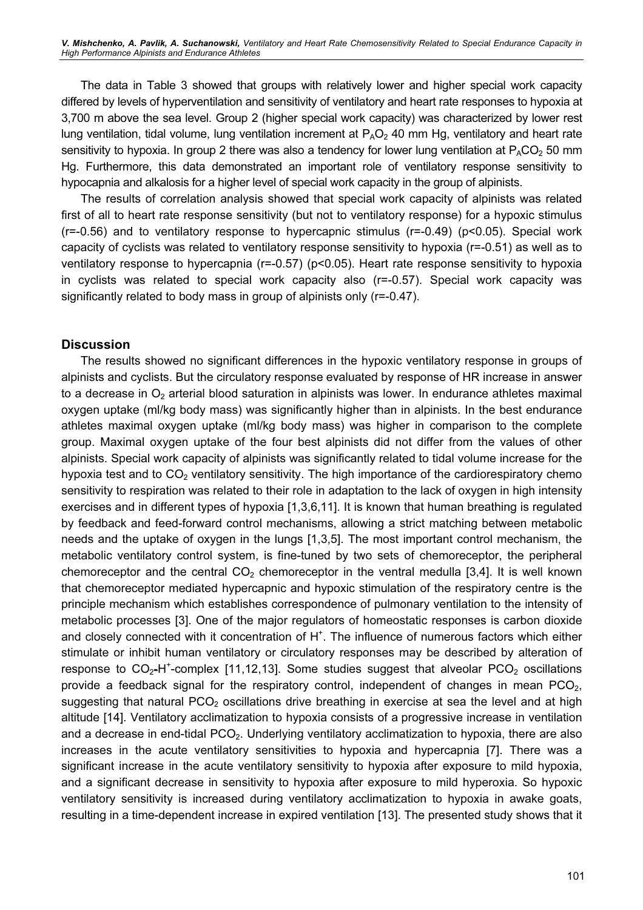V. Mishchenko, A. Pavlik, A. Suchanowski, Ventilatory and Heart Rate Chemosensitivity Related to Special Endurance Capacity in High Performance Alpinists and Endurance Athletes

The data in Table 3 showed that groups with relatively lower and higher special work capacity differed by levels of hyperventilation and sensitivity of ventilatory and heart rate responses to hypoxia at 3,700 m above the sea level. Group 2 (higher special work capacity) was characterized by lower rest lung ventilation, tidal volume, lung ventilation increment at  $P_AO_2$  40 mm Hg, ventilatory and heart rate sensitivity to hypoxia. In group 2 there was also a tendency for lower lung ventilation at  $P_ACO<sub>2</sub>$  50 mm Hg. Furthermore, this data demonstrated an important role of ventilatory response sensitivity to hypocapnia and alkalosis for a higher level of special work capacity in the group of alpinists.

The results of correlation analysis showed that special work capacity of alpinists was related first of all to heart rate response sensitivity (but not to ventilatory response) for a hypoxic stimulus  $(r=-0.56)$  and to ventilatory response to hypercapnic stimulus  $(r=-0.49)$  ( $p<0.05$ ). Special work capacity of cyclists was related to ventilatory response sensitivity to hypoxia (r=-0.51) as well as to ventilatory response to hypercapnia (r=-0.57) (p<0.05). Heart rate response sensitivity to hypoxia in cyclists was related to special work capacity also (r=-0.57). Special work capacity was significantly related to body mass in group of alpinists only (r=-0.47).

#### **Discussion**

The results showed no significant differences in the hypoxic ventilatory response in groups of alpinists and cyclists. But the circulatory response evaluated by response of HR increase in answer to a decrease in  $O_2$  arterial blood saturation in alpinists was lower. In endurance athletes maximal oxygen uptake (ml/kg body mass) was significantly higher than in alpinists. In the best endurance athletes maximal oxygen uptake (ml/kg body mass) was higher in comparison to the complete group. Maximal oxygen uptake of the four best alpinists did not differ from the values of other alpinists. Special work capacity of alpinists was significantly related to tidal volume increase for the hypoxia test and to  $CO<sub>2</sub>$  ventilatory sensitivity. The high importance of the cardiorespiratory chemo sensitivity to respiration was related to their role in adaptation to the lack of oxygen in high intensity exercises and in different types of hypoxia [1,3,6,11]. It is known that human breathing is regulated by feedback and feed-forward control mechanisms, allowing a strict matching between metabolic needs and the uptake of oxygen in the lungs [1,3,5]. The most important control mechanism, the metabolic ventilatory control system, is fine-tuned by two sets of chemoreceptor, the peripheral chemoreceptor and the central  $CO<sub>2</sub>$  chemoreceptor in the ventral medulla [3,4]. It is well known that chemoreceptor mediated hypercapnic and hypoxic stimulation of the respiratory centre is the principle mechanism which establishes correspondence of pulmonary ventilation to the intensity of metabolic processes [3]. One of the major regulators of homeostatic responses is carbon dioxide and closely connected with it concentration of  $H^+$ . The influence of numerous factors which either stimulate or inhibit human ventilatory or circulatory responses may be described by alteration of response to  $CO_2$ -H<sup>+</sup>-complex [11,12,13]. Some studies suggest that alveolar  $PCO_2$  oscillations provide a feedback signal for the respiratory control, independent of changes in mean  $PCO<sub>2</sub>$ , suggesting that natural  $PCO<sub>2</sub>$  oscillations drive breathing in exercise at sea the level and at high altitude [14]. Ventilatory acclimatization to hypoxia consists of a progressive increase in ventilation and a decrease in end-tidal  $PCO<sub>2</sub>$ . Underlying ventilatory acclimatization to hypoxia, there are also increases in the acute ventilatory sensitivities to hypoxia and hypercapnia [7]. There was a significant increase in the acute ventilatory sensitivity to hypoxia after exposure to mild hypoxia, and a significant decrease in sensitivity to hypoxia after exposure to mild hyperoxia. So hypoxic ventilatory sensitivity is increased during ventilatory acclimatization to hypoxia in awake goats, resulting in a time-dependent increase in expired ventilation [13]. The presented study shows that it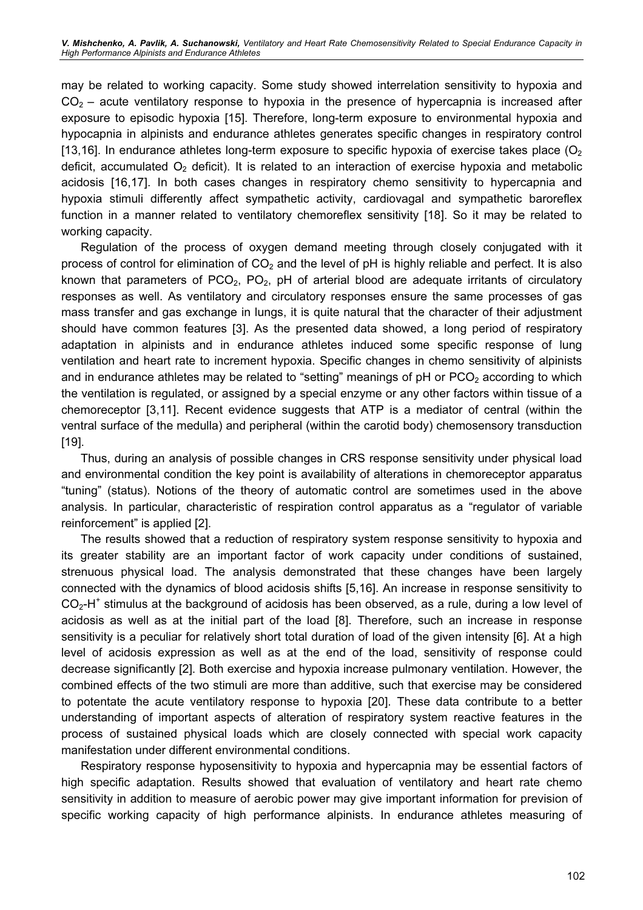may be related to working capacity. Some study showed interrelation sensitivity to hypoxia and  $CO<sub>2</sub>$  – acute ventilatory response to hypoxia in the presence of hypercapnia is increased after exposure to episodic hypoxia [15]. Therefore, long-term exposure to environmental hypoxia and hypocapnia in alpinists and endurance athletes generates specific changes in respiratory control [13,16]. In endurance athletes long-term exposure to specific hypoxia of exercise takes place  $\mathcal{O}_2$ deficit, accumulated  $O_2$  deficit). It is related to an interaction of exercise hypoxia and metabolic acidosis [16,17]. In both cases changes in respiratory chemo sensitivity to hypercapnia and hypoxia stimuli differently affect sympathetic activity, cardiovagal and sympathetic baroreflex function in a manner related to ventilatory chemoreflex sensitivity [18]. So it may be related to working capacity.

Regulation of the process of oxygen demand meeting through closely conjugated with it process of control for elimination of  $CO<sub>2</sub>$  and the level of pH is highly reliable and perfect. It is also known that parameters of  $PCO<sub>2</sub>$ ,  $PO<sub>2</sub>$ , pH of arterial blood are adequate irritants of circulatory responses as well. As ventilatory and circulatory responses ensure the same processes of gas mass transfer and gas exchange in lungs, it is quite natural that the character of their adjustment should have common features [3]. As the presented data showed, a long period of respiratory adaptation in alpinists and in endurance athletes induced some specific response of lung ventilation and heart rate to increment hypoxia. Specific changes in chemo sensitivity of alpinists and in endurance athletes may be related to "setting" meanings of  $pH$  or  $PCO<sub>2</sub>$  according to which the ventilation is regulated, or assigned by a special enzyme or any other factors within tissue of a chemoreceptor [3,11]. Recent evidence suggests that ATP is a mediator of central (within the ventral surface of the medulla) and peripheral (within the carotid body) chemosensory transduction [19].

Thus, during an analysis of possible changes in CRS response sensitivity under physical load and environmental condition the key point is availability of alterations in chemoreceptor apparatus "tuning" (status). Notions of the theory of automatic control are sometimes used in the above analysis. In particular, characteristic of respiration control apparatus as a "regulator of variable reinforcement" is applied [2].

The results showed that a reduction of respiratory system response sensitivity to hypoxia and its greater stability are an important factor of work capacity under conditions of sustained, strenuous physical load. The analysis demonstrated that these changes have been largely connected with the dynamics of blood acidosis shifts [5,16]. An increase in response sensitivity to  $CO<sub>2</sub>$ -H<sup>+</sup> stimulus at the background of acidosis has been observed, as a rule, during a low level of acidosis as well as at the initial part of the load [8]. Therefore, such an increase in response sensitivity is a peculiar for relatively short total duration of load of the given intensity [6]. At a high level of acidosis expression as well as at the end of the load, sensitivity of response could decrease significantly [2]. Both exercise and hypoxia increase pulmonary ventilation. However, the combined effects of the two stimuli are more than additive, such that exercise may be considered to potentate the acute ventilatory response to hypoxia [20]. These data contribute to a better understanding of important aspects of alteration of respiratory system reactive features in the process of sustained physical loads which are closely connected with special work capacity manifestation under different environmental conditions.

Respiratory response hyposensitivity to hypoxia and hypercapnia may be essential factors of high specific adaptation. Results showed that evaluation of ventilatory and heart rate chemo sensitivity in addition to measure of aerobic power may give important information for prevision of specific working capacity of high performance alpinists. In endurance athletes measuring of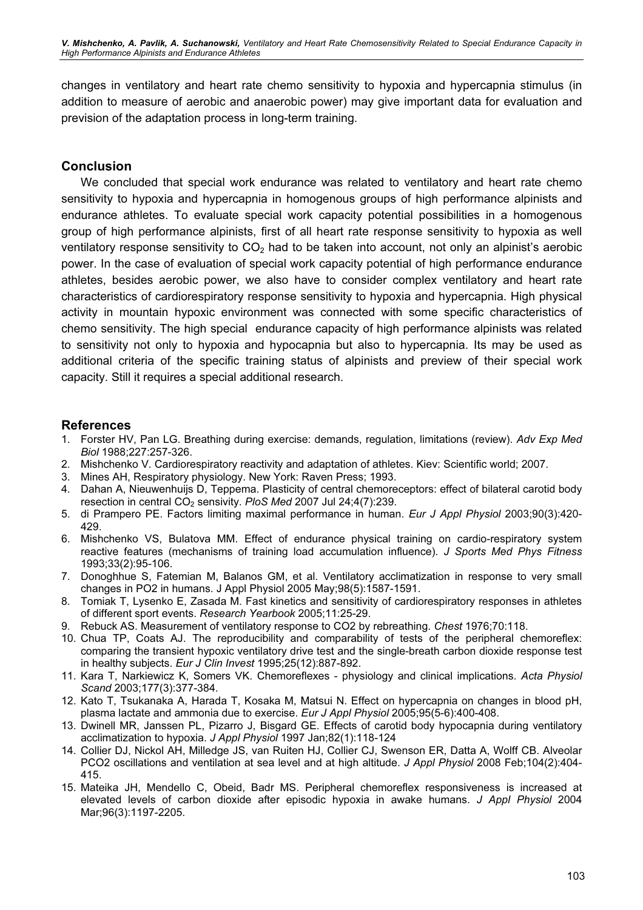changes in ventilatory and heart rate chemo sensitivity to hypoxia and hypercapnia stimulus (in addition to measure of aerobic and anaerobic power) may give important data for evaluation and prevision of the adaptation process in long-term training.

## Conclusion

We concluded that special work endurance was related to ventilatory and heart rate chemo sensitivity to hypoxia and hypercapnia in homogenous groups of high performance alpinists and endurance athletes. To evaluate special work capacity potential possibilities in a homogenous group of high performance alpinists, first of all heart rate response sensitivity to hypoxia as well ventilatory response sensitivity to  $CO<sub>2</sub>$  had to be taken into account, not only an alpinist's aerobic power. In the case of evaluation of special work capacity potential of high performance endurance athletes, besides aerobic power, we also have to consider complex ventilatory and heart rate characteristics of cardiorespiratory response sensitivity to hypoxia and hypercapnia. High physical activity in mountain hypoxic environment was connected with some specific characteristics of chemo sensitivity. The high special endurance capacity of high performance alpinists was related to sensitivity not only to hypoxia and hypocapnia but also to hypercapnia. Its may be used as additional criteria of the specific training status of alpinists and preview of their special work capacity. Still it requires a special additional research.

## References

- 1. Forster HV, Pan LG. Breathing during exercise: demands, regulation, limitations (review). Adv Exp Med Biol 1988;227:257-326.
- 2. Mishchenko V. Cardiorespiratory reactivity and adaptation of athletes. Kiev: Scientific world; 2007.
- 3. Mines AH, Respiratory physiology. New York: Raven Press; 1993.
- 4. Dahan A, Nieuwenhuijs D, Teppema. Plasticity of central chemoreceptors: effect of bilateral carotid body resection in central  $CO<sub>2</sub>$  sensivity. PloS Med 2007 Jul 24;4(7):239.
- 5. di Prampero PE. Factors limiting maximal performance in human. Eur J Appl Physiol 2003;90(3):420- 429.
- 6. Mishchenko VS, Bulatova MM. Effect of endurance physical training on cardio-respiratory system reactive features (mechanisms of training load accumulation influence). J Sports Med Phys Fitness 1993;33(2):95-106.
- 7. Donoghhue S, Fatemian M, Balanos GM, et al. Ventilatory acclimatization in response to very small changes in PO2 in humans. J Appl Physiol 2005 May;98(5):1587-1591.
- 8. Tomiak T, Lysenko E, Zasada M. Fast kinetics and sensitivity of cardiorespiratory responses in athletes of different sport events. Research Yearbook 2005;11:25-29.
- 9. Rebuck AS. Measurement of ventilatory response to CO2 by rebreathing. Chest 1976;70:118.
- 10. Chua TP, Coats AJ. The reproducibility and comparability of tests of the peripheral chemoreflex: comparing the transient hypoxic ventilatory drive test and the single-breath carbon dioxide response test in healthy subjects. Eur J Clin Invest 1995;25(12):887-892.
- 11. Kara T, Narkiewicz K, Somers VK. Chemoreflexes physiology and clinical implications. Acta Physiol Scand 2003;177(3):377-384.
- 12. Kato T, Tsukanaka A, Harada T, Kosaka M, Matsui N. Effect on hypercapnia on changes in blood pH, plasma lactate and ammonia due to exercise. Eur J Appl Physiol 2005;95(5-6):400-408.
- 13. Dwinell MR, Janssen PL, Pizarro J, Bisgard GE. Effects of carotid body hypocapnia during ventilatory acclimatization to hypoxia. J Appl Physiol 1997 Jan;82(1):118-124
- 14. Collier DJ, Nickol AH, Milledge JS, van Ruiten HJ, Collier CJ, Swenson ER, Datta A, Wolff CB. Alveolar PCO2 oscillations and ventilation at sea level and at high altitude. J Appl Physiol 2008 Feb;104(2):404-415.
- 15. Mateika JH, Mendello C, Obeid, Badr MS. Peripheral chemoreflex responsiveness is increased at elevated levels of carbon dioxide after episodic hypoxia in awake humans. J Appl Physiol 2004 Mar;96(3):1197-2205.